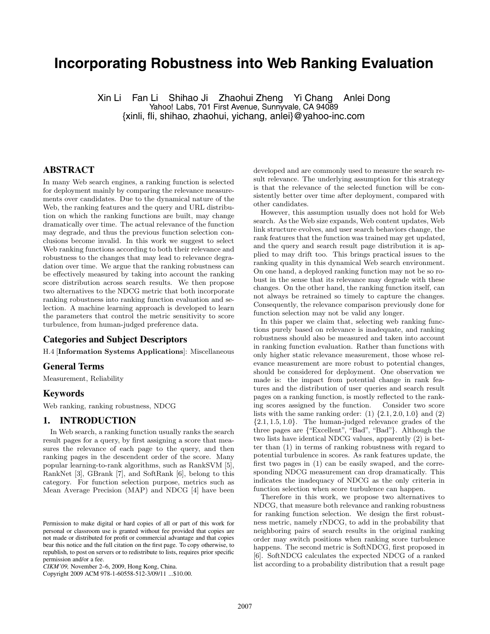# **Incorporating Robustness into Web Ranking Evaluation**

Xin Li Fan Li Shihao Ji Zhaohui Zheng Yi Chang Anlei Dong Yahoo! Labs, 701 First Avenue, Sunnyvale, CA 94089 {xinli, fli, shihao, zhaohui, yichang, anlei}@yahoo-inc.com

## **ABSTRACT**

In many Web search engines, a ranking function is selected for deployment mainly by comparing the relevance measurements over candidates. Due to the dynamical nature of the Web, the ranking features and the query and URL distribution on which the ranking functions are built, may change dramatically over time. The actual relevance of the function may degrade, and thus the previous function selection conclusions become invalid. In this work we suggest to select Web ranking functions according to both their relevance and robustness to the changes that may lead to relevance degradation over time. We argue that the ranking robustness can be effectively measured by taking into account the ranking score distribution across search results. We then propose two alternatives to the NDCG metric that both incorporate ranking robustness into ranking function evaluation and selection. A machine learning approach is developed to learn the parameters that control the metric sensitivity to score turbulence, from human-judged preference data.

#### **Categories and Subject Descriptors**

H.4 [**Information Systems Applications**]: Miscellaneous

#### **General Terms**

Measurement, Reliability

#### **Keywords**

Web ranking, ranking robustness, NDCG

#### **1. INTRODUCTION**

In Web search, a ranking function usually ranks the search result pages for a query, by first assigning a score that measures the relevance of each page to the query, and then ranking pages in the descendent order of the score. Many popular learning-to-rank algorithms, such as RankSVM [5], RankNet [3], GBrank [7], and SoftRank [6], belong to this category. For function selection purpose, metrics such as Mean Average Precision (MAP) and NDCG [4] have been

Copyright 2009 ACM 978-1-60558-512-3/09/11 ...\$10.00.

developed and are commonly used to measure the search result relevance. The underlying assumption for this strategy is that the relevance of the selected function will be consistently better over time after deployment, compared with other candidates.

However, this assumption usually does not hold for Web search. As the Web size expands, Web content updates, Web link structure evolves, and user search behaviors change, the rank features that the function was trained may get updated, and the query and search result page distribution it is applied to may drift too. This brings practical issues to the ranking quality in this dynamical Web search environment. On one hand, a deployed ranking function may not be so robust in the sense that its relevance may degrade with these changes. On the other hand, the ranking function itself, can not always be retrained so timely to capture the changes. Consequently, the relevance comparison previously done for function selection may not be valid any longer.

In this paper we claim that, selecting web ranking functions purely based on relevance is inadequate, and ranking robustness should also be measured and taken into account in ranking function evaluation. Rather than functions with only higher static relevance measurement, those whose relevance measurement are more robust to potential changes, should be considered for deployment. One observation we made is: the impact from potential change in rank features and the distribution of user queries and search result pages on a ranking function, is mostly reflected to the ranking scores assigned by the function. Consider two score lists with the same ranking order:  $(1)$   $\{2.1, 2.0, 1.0\}$  and  $(2)$  $\{2.1, 1.5, 1.0\}$ . The human-judged relevance grades of the three pages are {"Excellent", "Bad", "Bad"}. Although the two lists have identical NDCG values, apparently (2) is better than (1) in terms of ranking robustness with regard to potential turbulence in scores. As rank features update, the first two pages in (1) can be easily swaped, and the corresponding NDCG measurement can drop dramatically. This indicates the inadequacy of NDCG as the only criteria in function selection when score turbulence can happen.

Therefore in this work, we propose two alternatives to NDCG, that measure both relevance and ranking robustness for ranking function selection. We design the first robustness metric, namely rNDCG, to add in the probability that neighboring pairs of search results in the original ranking order may switch positions when ranking score turbulence happens. The second metric is SoftNDCG, first proposed in [6]. SoftNDCG calculates the expected NDCG of a ranked list according to a probability distribution that a result page

Permission to make digital or hard copies of all or part of this work for personal or classroom use is granted without fee provided that copies are not made or distributed for profit or commercial advantage and that copies bear this notice and the full citation on the first page. To copy otherwise, to republish, to post on servers or to redistribute to lists, requires prior specific permission and/or a fee.

*CIKM'09,* November 2–6, 2009, Hong Kong, China.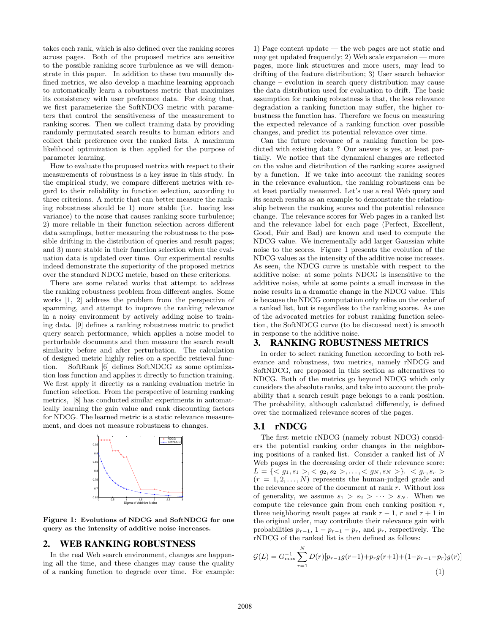takes each rank, which is also defined over the ranking scores across pages. Both of the proposed metrics are sensitive to the possible ranking score turbulence as we will demonstrate in this paper. In addition to these two manually defined metrics, we also develop a machine learning approach to automatically learn a robustness metric that maximizes its consistency with user preference data. For doing that, we first parameterize the SoftNDCG metric with parameters that control the sensitiveness of the measurement to ranking scores. Then we collect training data by providing randomly permutated search results to human editors and collect their preference over the ranked lists. A maximum likelihood optimization is then applied for the purpose of parameter learning.

How to evaluate the proposed metrics with respect to their measurements of robustness is a key issue in this study. In the empirical study, we compare different metrics with regard to their reliability in function selection, according to three criterions. A metric that can better measure the ranking robustness should be 1) more stable (i.e. having less variance) to the noise that causes ranking score turbulence; 2) more reliable in their function selection across different data samplings, better measuring the robustness to the possible drifting in the distribution of queries and result pages; and 3) more stable in their function selection when the evaluation data is updated over time. Our experimental results indeed demonstrate the superiority of the proposed metrics over the standard NDCG metric, based on these criterions.

There are some related works that attempt to address the ranking robustness problem from different angles. Some works [1, 2] address the problem from the perspective of spamming, and attempt to improve the ranking relevance in a noisy environment by actively adding noise to training data. [9] defines a ranking robustness metric to predict query search performance, which applies a noise model to perturbable documents and then measure the search result similarity before and after perturbation. The calculation of designed metric highly relies on a specific retrieval function. SoftRank [6] defines SoftNDCG as some optimization loss function and applies it directly to function training. We first apply it directly as a ranking evaluation metric in function selection. From the perspective of learning ranking metrics, [8] has conducted similar experiments in automatically learning the gain value and rank discounting factors for NDCG. The learned metric is a static relevance measurement, and does not measure robustness to changes.



**Figure 1: Evolutions of NDCG and SoftNDCG for one query as the intensity of additive noise increases.**

## **2. WEB RANKING ROBUSTNESS**

In the real Web search environment, changes are happening all the time, and these changes may cause the quality of a ranking function to degrade over time. For example: 1) Page content update — the web pages are not static and may get updated frequently; 2) Web scale expansion — more pages, more link structures and more users, may lead to drifting of the feature distribution; 3) User search behavior change – evolution in search query distribution may cause the data distribution used for evaluation to drift. The basic assumption for ranking robustness is that, the less relevance degradation a ranking function may suffer, the higher robustness the function has. Therefore we focus on measuring the expected relevance of a ranking function over possible changes, and predict its potential relevance over time.

Can the future relevance of a ranking function be predicted with existing data ? Our answer is yes, at least partially. We notice that the dynamical changes are reflected on the value and distribution of the ranking scores assigned by a function. If we take into account the ranking scores in the relevance evaluation, the ranking robustness can be at least partially measured. Let's use a real Web query and its search results as an example to demonstrate the relationship between the ranking scores and the potential relevance change. The relevance scores for Web pages in a ranked list and the relevance label for each page (Perfect, Excellent, Good, Fair and Bad) are known and used to compute the NDCG value. We incrementally add larger Gaussian white noise to the scores. Figure 1 presents the evolution of the NDCG values as the intensity of the additive noise increases. As seen, the NDCG curve is unstable with respect to the additive noise: at some points NDCG is insensitive to the additive noise, while at some points a small increase in the noise results in a dramatic change in the NDCG value. This is because the NDCG computation only relies on the order of a ranked list, but is regardless to the ranking scores. As one of the advocated metrics for robust ranking function selection, the SoftNDCG curve (to be discussed next) is smooth in response to the additive noise.

#### **3. RANKING ROBUSTNESS METRICS**

In order to select ranking function according to both relevance and robustness, two metrics, namely rNDCG and SoftNDCG, are proposed in this section as alternatives to NDCG. Both of the metrics go beyond NDCG which only considers the absolute ranks, and take into account the probability that a search result page belongs to a rank position. The probability, although calculated differently, is defined over the normalized relevance scores of the pages.

#### **3.1 rNDCG**

The first metric rNDCG (namely robust NDCG) considers the potential ranking order changes in the neighboring positions of a ranked list. Consider a ranked list of N Web pages in the decreasing order of their relevance score:  $L = \{ \langle g_1, s_1 \rangle, \langle g_2, s_2 \rangle, \ldots, \langle g_N, s_N \rangle \}.$   $\langle g_r, s_r \rangle$  $(r = 1, 2, \ldots, N)$  represents the human-judged grade and the relevance score of the document at rank r. Without loss of generality, we assume  $s_1 > s_2 > \cdots > s_N$ . When we compute the relevance gain from each ranking position  $r$ , three neighboring result pages at rank  $r - 1$ , r and  $r + 1$  in the original order, may contribute their relevance gain with probabilities  $p_{r-1}$ ,  $1 - p_{r-1} - p_r$ , and  $p_r$ , respectively. The rNDCG of the ranked list is then defined as follows:

$$
\mathcal{G}(L) = G_{\text{max}}^{-1} \sum_{r=1}^{N} D(r) [p_{r-1}g(r-1) + p_r g(r+1) + (1 - p_{r-1} - p_r)g(r)] \tag{1}
$$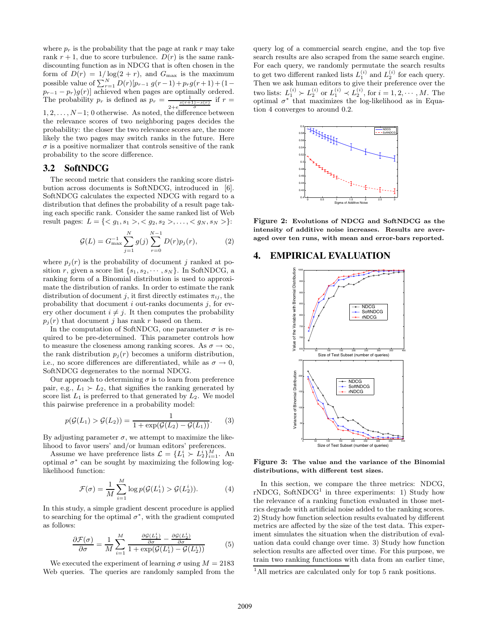where  $p_r$  is the probability that the page at rank r may take rank  $r + 1$ , due to score turbulence.  $D(r)$  is the same rankdiscounting function as in NDCG that is often chosen in the form of  $D(r) = 1/\log(2 + r)$ , and  $G_{\text{max}}$  is the maximum<br>possible value of  $\sum_{r=1}^{N} D(r)[p_{r-1} g(r-1)+p_r g(r+1)+(1-r)g(r)]$  achieved when pages are optimally ordered  $p_{r-1} - p_r$ )g(r)] achieved when pages are optimally ordered.<br>The probability n is defined as  $n = \frac{1}{r}$  if  $r =$ The probability  $p_r$  is defined as  $p_r = \frac{1}{2+e^{\frac{s(r+1)-s(r)}{\sigma}}}$  if  $r =$ 

 $1, 2, \ldots, N-1$ ; 0 otherwise. As noted, the difference between the relevance scores of two neighboring pages decides the probability: the closer the two relevance scores are, the more likely the two pages may switch ranks in the future. Here  $\sigma$  is a positive normalizer that controls sensitive of the rank probability to the score difference.

#### **3.2 SoftNDCG**

The second metric that considers the ranking score distribution across documents is SoftNDCG, introduced in [6]. SoftNDCG calculates the expected NDCG with regard to a distribution that defines the probability of a result page taking each specific rank. Consider the same ranked list of Web result pages:  $L = \{ \langle g_1, s_1 \rangle, \langle g_2, s_2 \rangle, \dots, \langle g_N, s_N \rangle \}$ :

$$
\mathcal{G}(L) = G_{\text{max}}^{-1} \sum_{j=1}^{N} g(j) \sum_{r=0}^{N-1} D(r) p_j(r), \qquad (2)
$$

where  $p_i(r)$  is the probability of document j ranked at position r, given a score list  $\{s_1, s_2, \cdots, s_N\}$ . In SoftNDCG, a ranking form of a Binomial distribution is used to approximate the distribution of ranks. In order to estimate the rank distribution of document j, it first directly estimates  $\pi_{ij}$ , the probability that document  $i$  out-ranks documents  $j$ , for every other document  $i \neq j$ . It then computes the probability  $p_i(r)$  that document i has rank r based on them  $p_i(r)$  that document j has rank r based on them.

In the computation of SoftNDCG, one parameter  $\sigma$  is required to be pre-determined. This parameter controls how to measure the closeness among ranking scores. As  $\sigma \to \infty$ , the rank distribution  $p_i(r)$  becomes a uniform distribution, i.e., no score differences are differentiated, while as  $\sigma \to 0$ , SoftNDCG degenerates to the normal NDCG.

Our approach to determining  $\sigma$  is to learn from preference pair, e.g.,  $L_1 \succ L_2$ , that signifies the ranking generated by score list  $L_1$  is preferred to that generated by  $L_2$ . We model this pairwise preference in a probability model:

$$
p(G(L_1) > G(L_2)) = \frac{1}{1 + \exp(G(L_2) - G(L_1))}.
$$
 (3)

By adjusting parameter  $\sigma$ , we attempt to maximize the likelihood to favor users' and/or human editors' preferences.

Assume we have preference lists  $\mathcal{L} = \{L_1^i \succ L_2^i\}_{i=1}^M$ . And time  $\sigma^*$  can be sought by maximizing the following logoptimal  $\sigma^*$  can be sought by maximizing the following loglikelihood function:

$$
\mathcal{F}(\sigma) = \frac{1}{M} \sum_{i=1}^{M} \log p(\mathcal{G}(L_1^i) > \mathcal{G}(L_2^i)).\tag{4}
$$

In this study, a simple gradient descent procedure is applied to searching for the optimal  $\sigma^*$ , with the gradient computed as follows:

$$
\frac{\partial \mathcal{F}(\sigma)}{\partial \sigma} = \frac{1}{M} \sum_{i=1}^{M} \frac{\frac{\partial \mathcal{G}(L_1^i)}{\partial \sigma} - \frac{\partial \mathcal{G}(L_2^i)}{\partial \sigma}}{1 + \exp(\mathcal{G}(L_1^i) - \mathcal{G}(L_2^i))}
$$
(5)

We executed the experiment of learning  $\sigma$  using  $M = 2183$ Web queries. The queries are randomly sampled from the query log of a commercial search engine, and the top five search results are also scraped from the same search engine. For each query, we randomly permutate the search results to get two different ranked lists  $L_1^{(i)}$  and  $L_2^{(i)}$  for each query.<br>Then we ask human editors to give their preference over the Then we ask human editors to give their preference over the two lists:  $L_1^{(i)} \succ L_2^{(i)}$  or  $L_1^{(i)} \prec L_2^{(i)}$ , for  $i = 1, 2, \cdots, M$ . The optimal  $\sigma^*$  that maximizes the log-likelihood as in Equaoptimal  $\sigma^*$  that maximizes the log-likelihood as in Equation 4 converges to around 0.2 tion 4 converges to around 0.2.



**Figure 2: Evolutions of NDCG and SoftNDCG as the intensity of additive noise increases. Results are averaged over ten runs, with mean and error-bars reported.**

### **4. EMPIRICAL EVALUATION**



**Figure 3: The value and the variance of the Binomial distributions, with different test sizes.**

In this section, we compare the three metrics: NDCG, rNDCG, SoftNDCG<sup>1</sup> in three experiments: 1) Study how the relevance of a ranking function evaluated in those metrics degrade with artificial noise added to the ranking scores. 2) Study how function selection results evaluated by different metrics are affected by the size of the test data. This experiment simulates the situation when the distribution of evaluation data could change over time. 3) Study how function selection results are affected over time. For this purpose, we train two ranking functions with data from an earlier time,

 $^1\mathrm{All}$  metrics are calculated only for top 5 rank positions.